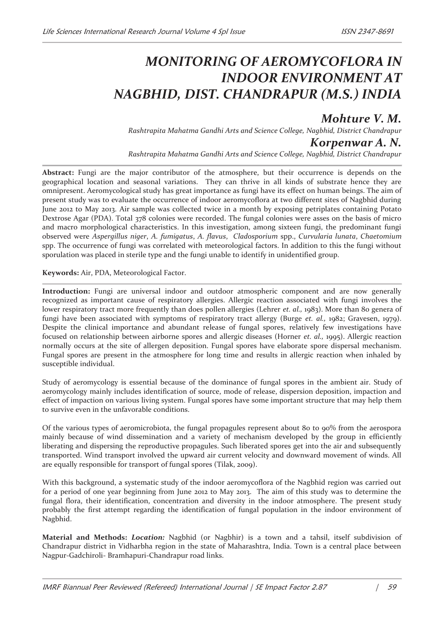## *MONITORING OF AEROMYCOFLORA IN INDOOR ENVIRONMENT AT NAGBHID, DIST. CHANDRAPUR (M.S.) INDIA*

## *Mohture V. M.*

*Rashtrapita Mahatma Gandhi Arts and Science College, Nagbhid, District Chandrapur Korpenwar A. N.* 

*Rashtrapita Mahatma Gandhi Arts and Science College, Nagbhid, District Chandrapur* 

**Abstract:** Fungi are the major contributor of the atmosphere, but their occurrence is depends on the geographical location and seasonal variations. They can thrive in all kinds of substrate hence they are omnipresent. Aeromycological study has great importance as fungi have its effect on human beings. The aim of present study was to evaluate the occurrence of indoor aeromycoflora at two different sites of Nagbhid during June 2012 to May 2013. Air sample was collected twice in a month by exposing petriplates containing Potato Dextrose Agar (PDA). Total 378 colonies were recorded. The fungal colonies were asses on the basis of micro and macro morphological characteristics. In this investigation, among sixteen fungi, the predominant fungi observed were *Aspergillus niger*, *A. fumigatus*, *A. flavus*, *Cladosporium* spp., *Curvularia lunata*, *Chaetomium*  spp. The occurrence of fungi was correlated with meteorological factors. In addition to this the fungi without sporulation was placed in sterile type and the fungi unable to identify in unidentified group.

**Keywords:** Air, PDA, Meteorological Factor.

**Introduction:** Fungi are universal indoor and outdoor atmospheric component and are now generally recognized as important cause of respiratory allergies. Allergic reaction associated with fungi involves the lower respiratory tract more frequently than does pollen allergies (Lehrer *et. al.*, 1983). More than 80 genera of fungi have been associated with symptoms of respiratory tract allergy (Burge *et. al.,* 1982; Gravesen, 1979). Despite the clinical importance and abundant release of fungal spores, relatively few investigations have focused on relationship between airborne spores and allergic diseases (Horner *et. al.,* 1995). Allergic reaction normally occurs at the site of allergen deposition. Fungal spores have elaborate spore dispersal mechanism. Fungal spores are present in the atmosphere for long time and results in allergic reaction when inhaled by susceptible individual.

Study of aeromycology is essential because of the dominance of fungal spores in the ambient air. Study of aeromycology mainly includes identification of source, mode of release, dispersion deposition, impaction and effect of impaction on various living system. Fungal spores have some important structure that may help them to survive even in the unfavorable conditions.

Of the various types of aeromicrobiota, the fungal propagules represent about 80 to 90% from the aerospora mainly because of wind dissemination and a variety of mechanism developed by the group in efficiently liberating and dispersing the reproductive propagules. Such liberated spores get into the air and subsequently transported. Wind transport involved the upward air current velocity and downward movement of winds. All are equally responsible for transport of fungal spores (Tilak, 2009).

With this background, a systematic study of the indoor aeromycoflora of the Nagbhid region was carried out for a period of one year beginning from June 2012 to May 2013. The aim of this study was to determine the fungal flora, their identification, concentration and diversity in the indoor atmosphere. The present study probably the first attempt regarding the identification of fungal population in the indoor environment of Nagbhid.

**Material and Methods:** *Location:* Nagbhid (or Nagbhir) is a town and a tahsil, itself subdivision of Chandrapur district in Vidharbha region in the state of Maharashtra, India. Town is a central place between Nagpur-Gadchiroli- Bramhapuri-Chandrapur road links.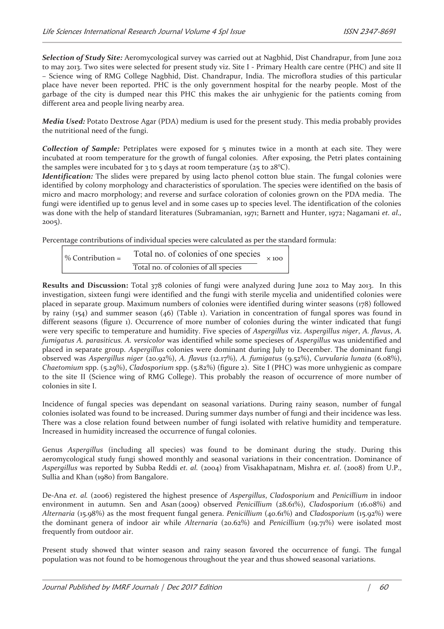*Selection of Study Site:* Aeromycological survey was carried out at Nagbhid, Dist Chandrapur, from June 2012 to may 2013. Two sites were selected for present study viz. Site I - Primary Health care centre (PHC) and site II – Science wing of RMG College Nagbhid, Dist. Chandrapur, India. The microflora studies of this particular place have never been reported. PHC is the only government hospital for the nearby people. Most of the garbage of the city is dumped near this PHC this makes the air unhygienic for the patients coming from different area and people living nearby area.

*Media Used:* Potato Dextrose Agar (PDA) medium is used for the present study. This media probably provides the nutritional need of the fungi.

*Collection of Sample:* Petriplates were exposed for 5 minutes twice in a month at each site. They were incubated at room temperature for the growth of fungal colonies. After exposing, the Petri plates containing the samples were incubated for  $3$  to  $5$  days at room temperature ( $25$  to  $28^{\circ}$ C).

*Identification:* The slides were prepared by using lacto phenol cotton blue stain. The fungal colonies were identified by colony morphology and characteristics of sporulation. The species were identified on the basis of micro and macro morphology; and reverse and surface coloration of colonies grown on the PDA media. The fungi were identified up to genus level and in some cases up to species level. The identification of the colonies was done with the help of standard literatures (Subramanian, 1971; Barnett and Hunter, 1972; Nagamani *et. al.,* 2005).

Percentage contributions of individual species were calculated as per the standard formula:

 Total no. of colonies of one species % Contribution =× 100 Total no. of colonies of all species

**Results and Discussion:** Total 378 colonies of fungi were analyzed during June 2012 to May 2013. In this investigation, sixteen fungi were identified and the fungi with sterile mycelia and unidentified colonies were placed in separate group. Maximum numbers of colonies were identified during winter seasons (178) followed by rainy (154) and summer season (46) (Table 1). Variation in concentration of fungal spores was found in different seasons (figure 1). Occurrence of more number of colonies during the winter indicated that fungi were very specific to temperature and humidity. Five species of *Aspergillus* viz. *Aspergillus niger*, *A. flavus*, *A. fumigatus A. parasiticus. A. versicolor* was identified while some specieses of *Aspergillus* was unidentified and placed in separate group. *Aspergillus* colonies were dominant during July to December. The dominant fungi observed was *Aspergillus niger* (20.92%), *A. flavus* (12.17%)*, A. fumigatus* (9.52%), *Curvularia lunata* (6.08%), *Chaetomium* spp. (5.29%), *Cladosporium* spp. (5.82%) (figure 2). Site I (PHC) was more unhygienic as compare to the site II (Science wing of RMG College). This probably the reason of occurrence of more number of colonies in site I.

Incidence of fungal species was dependant on seasonal variations. During rainy season, number of fungal colonies isolated was found to be increased. During summer days number of fungi and their incidence was less. There was a close relation found between number of fungi isolated with relative humidity and temperature. Increased in humidity increased the occurrence of fungal colonies.

Genus *Aspergillus* (including all species) was found to be dominant during the study. During this aeromycological study fungi showed monthly and seasonal variations in their concentration. Dominance of *Aspergillus* was reported by Subba Reddi *et. al.* (2004) from Visakhapatnam, Mishra *et. al*. (2008) from U.P., Sullia and Khan (1980) from Bangalore.

De-Ana *et. al.* (2006) registered the highest presence of *Aspergillus*, *Cladosporium* and *Penicillium* in indoor environment in autumn. Sen and Asan (2009) observed *Penicillium* (28.61%), *Cladosporium* (16.08%) and *Alternaria* (15.98%) as the most frequent fungal genera. *Penicillium* (40.61%) and *Cladosporium* (15.92%) were the dominant genera of indoor air while *Alternaria* (20.62%) and *Penicillium* (19.71%) were isolated most frequently from outdoor air.

Present study showed that winter season and rainy season favored the occurrence of fungi. The fungal population was not found to be homogenous throughout the year and thus showed seasonal variations.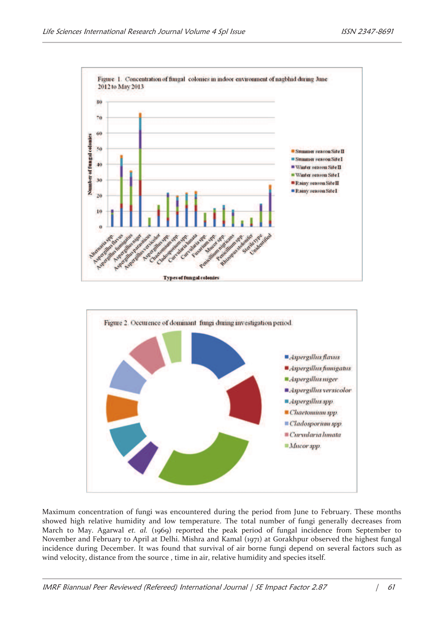



Maximum concentration of fungi was encountered during the period from June to February. These months showed high relative humidity and low temperature. The total number of fungi generally decreases from March to May. Agarwal *et. al.* (1969) reported the peak period of fungal incidence from September to November and February to April at Delhi. Mishra and Kamal (1971) at Gorakhpur observed the highest fungal incidence during December. It was found that survival of air borne fungi depend on several factors such as wind velocity, distance from the source , time in air, relative humidity and species itself.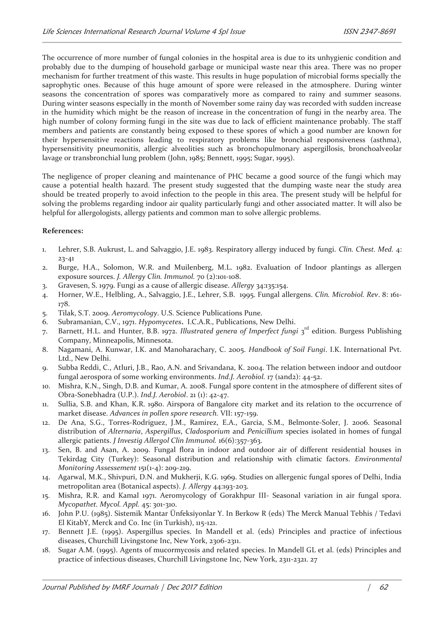The occurrence of more number of fungal colonies in the hospital area is due to its unhygienic condition and probably due to the dumping of household garbage or municipal waste near this area. There was no proper mechanism for further treatment of this waste. This results in huge population of microbial forms specially the saprophytic ones. Because of this huge amount of spore were released in the atmosphere. During winter seasons the concentration of spores was comparatively more as compared to rainy and summer seasons. During winter seasons especially in the month of November some rainy day was recorded with sudden increase in the humidity which might be the reason of increase in the concentration of fungi in the nearby area. The high number of colony forming fungi in the site was due to lack of efficient maintenance probably. The staff members and patients are constantly being exposed to these spores of which a good number are known for their hypersensitive reactions leading to respiratory problems like bronchial responsiveness (asthma), hypersensitivity pneumonitis, allergic alveolities such as bronchopulmonary aspergillosis, bronchoalveolar lavage or transbronchial lung problem (John, 1985; Bennett, 1995; Sugar, 1995).

The negligence of proper cleaning and maintenance of PHC became a good source of the fungi which may cause a potential health hazard. The present study suggested that the dumping waste near the study area should be treated properly to avoid infection to the people in this area. The present study will be helpful for solving the problems regarding indoor air quality particularly fungi and other associated matter. It will also be helpful for allergologists, allergy patients and common man to solve allergic problems.

## **References:**

- 1. Lehrer, S.B. Aukrust, L. and Salvaggio, J.E. 1983. Respiratory allergy induced by fungi. *Clin. Chest. Med.* 4: 23-41
- 2. Burge, H.A., Solomon, W.R. and Muilenberg, M.L. 1982. Evaluation of Indoor plantings as allergen exposure sources. *J. Allergy Clin. Immunol.* 70 (2):101-108.
- 3. Gravesen, S. 1979. Fungi as a cause of allergic disease. *Allergy* 34:135:154.
- 4. Horner, W.E., Helbling, A., Salvaggio, J.E., Lehrer, S.B. 1995. Fungal allergens. *Clin. Microbiol. Rev*. 8: 161- 178.
- 5. Tilak, S.T. 2009. *Aeromycology*. U.S. Science Publications Pune.
- 6. Subramanian, C.V., 1971. *Hypomycetes***.** I.C.A.R., Publications, New Delhi.
- 7. Barnett, H.L. and Hunter, B.B. 1972. *Illustrated genera of Imperfect fungi* 3 rd edition. Burgess Publishing Company, Minneapolis, Minnesota.
- 8. Nagamani, A. Kunwar, I.K. and Manoharachary, C. 2005. *Handbook of Soil Fungi*. I.K. International Pvt. Ltd., New Delhi.
- 9. Subba Reddi, C., Atluri, J.B., Rao, A.N. and Srivandana, K. 2004. The relation between indoor and outdoor fungal aerospora of some working environments. *Ind.J. Aerobiol.* 17 (1and2): 44-52.
- 10. Mishra, K.N., Singh, D.B. and Kumar, A. 2008. Fungal spore content in the atmosphere of different sites of Obra-Sonebhadra (U.P.). *Ind.J. Aerobiol*. 21 (1): 42-47.
- 11. Sullia, S.B. and Khan, K.R. 1980. Airspora of Bangalore city market and its relation to the occurrence of market disease. *Advances in pollen spore research.* VII: 157-159.
- 12. De Ana, S.G., Torres-Rodriguez, J.M., Ramirez, E.A., Garcia, S.M., Belmonte-Soler, J. 2006. Seasonal distribution of *Alternaria*, *Aspergillus*, *Cladosporium* and *Penicillium* species isolated in homes of fungal allergic patients. *J Investig Allergol Clin Immunol.* 16(6):357-363.
- 13. Sen, B. and Asan, A. 2009. Fungal flora in indoor and outdoor air of different residential houses in Tekirdag City (Turkey): Seasonal distribution and relationship with climatic factors. *Environmental Monitoring Assessement* 151(1-4): 209-219.
- 14. Agarwal, M.K., Shivpuri, D.N. and Mukherji, K.G. 1969. Studies on allergenic fungal spores of Delhi, India metropolitan area (Botanical aspects). *J. Allergy* 44:193-203.
- 15. Mishra, R.R. and Kamal 1971. Aeromycology of Gorakhpur III- Seasonal variation in air fungal spora. *Mycopathet. Mycol. Appl.* 45: 301-310.
- 16. John P.U. (1985). Sistemik Mantar Ünfeksiyonlar Y. In Berkow R (eds) The Merck Manual Tebhis / Tedavi El KitabY, Merck and Co. Inc (in Turkish), 115-121.
- 17. Bennett J.E. (1995). Aspergillus species. In Mandell et al. (eds) Principles and practice of infectious diseases, Churchill Livingstone Inc, New York, 2306-2311.
- 18. Sugar A.M. (1995). Agents of mucormycosis and related species. In Mandell GL et al. (eds) Principles and practice of infectious diseases, Churchill Livingstone Inc, New York, 2311-2321. 27